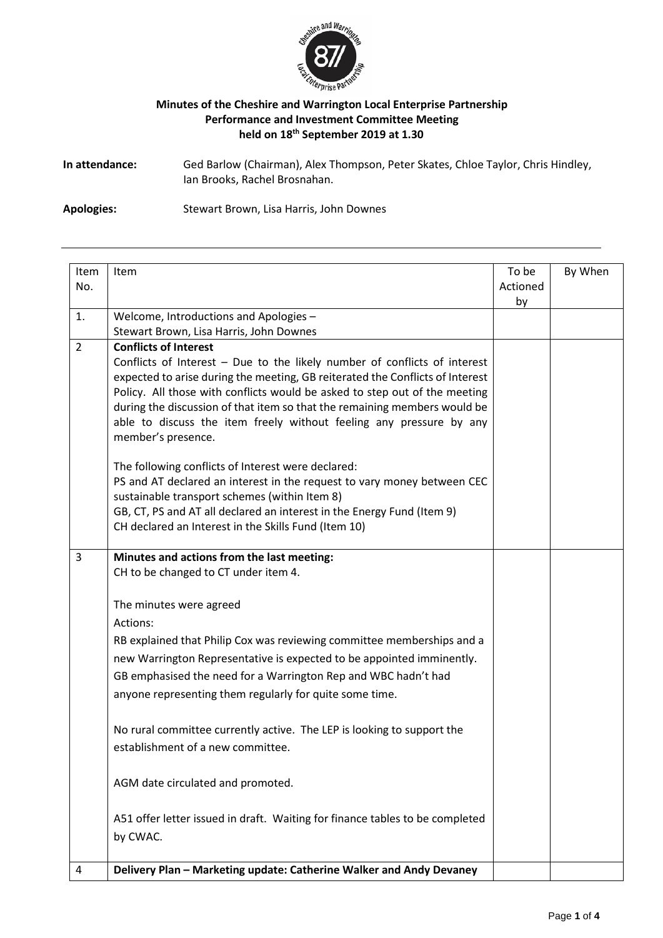

## **Minutes of the Cheshire and Warrington Local Enterprise Partnership Performance and Investment Committee Meeting held on 18th September 2019 at 1.30**

**In attendance:** Ged Barlow (Chairman), Alex Thompson, Peter Skates, Chloe Taylor, Chris Hindley, Ian Brooks, Rachel Brosnahan.

**Apologies:** Stewart Brown, Lisa Harris, John Downes

| Item<br>No.    | Item                                                                                                                                                                                                                                                                                                                                                                                                                                               | To be<br>Actioned<br>by | By When |
|----------------|----------------------------------------------------------------------------------------------------------------------------------------------------------------------------------------------------------------------------------------------------------------------------------------------------------------------------------------------------------------------------------------------------------------------------------------------------|-------------------------|---------|
| 1.             | Welcome, Introductions and Apologies -                                                                                                                                                                                                                                                                                                                                                                                                             |                         |         |
|                | Stewart Brown, Lisa Harris, John Downes                                                                                                                                                                                                                                                                                                                                                                                                            |                         |         |
| $\overline{2}$ | <b>Conflicts of Interest</b><br>Conflicts of Interest - Due to the likely number of conflicts of interest<br>expected to arise during the meeting, GB reiterated the Conflicts of Interest<br>Policy. All those with conflicts would be asked to step out of the meeting<br>during the discussion of that item so that the remaining members would be<br>able to discuss the item freely without feeling any pressure by any<br>member's presence. |                         |         |
|                | The following conflicts of Interest were declared:<br>PS and AT declared an interest in the request to vary money between CEC<br>sustainable transport schemes (within Item 8)<br>GB, CT, PS and AT all declared an interest in the Energy Fund (Item 9)<br>CH declared an Interest in the Skills Fund (Item 10)                                                                                                                                   |                         |         |
| 3              | Minutes and actions from the last meeting:<br>CH to be changed to CT under item 4.                                                                                                                                                                                                                                                                                                                                                                 |                         |         |
|                | The minutes were agreed                                                                                                                                                                                                                                                                                                                                                                                                                            |                         |         |
|                | Actions:                                                                                                                                                                                                                                                                                                                                                                                                                                           |                         |         |
|                | RB explained that Philip Cox was reviewing committee memberships and a                                                                                                                                                                                                                                                                                                                                                                             |                         |         |
|                | new Warrington Representative is expected to be appointed imminently.                                                                                                                                                                                                                                                                                                                                                                              |                         |         |
|                | GB emphasised the need for a Warrington Rep and WBC hadn't had                                                                                                                                                                                                                                                                                                                                                                                     |                         |         |
|                | anyone representing them regularly for quite some time.                                                                                                                                                                                                                                                                                                                                                                                            |                         |         |
|                | No rural committee currently active. The LEP is looking to support the<br>establishment of a new committee.                                                                                                                                                                                                                                                                                                                                        |                         |         |
|                | AGM date circulated and promoted.                                                                                                                                                                                                                                                                                                                                                                                                                  |                         |         |
|                | A51 offer letter issued in draft. Waiting for finance tables to be completed<br>by CWAC.                                                                                                                                                                                                                                                                                                                                                           |                         |         |
| 4              | Delivery Plan - Marketing update: Catherine Walker and Andy Devaney                                                                                                                                                                                                                                                                                                                                                                                |                         |         |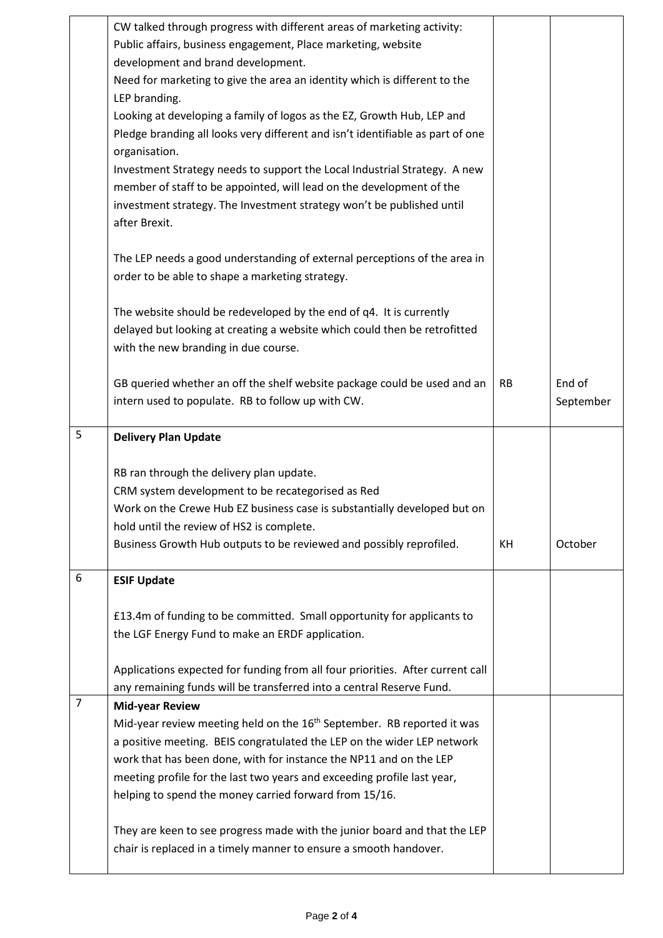|                | CW talked through progress with different areas of marketing activity:<br>Public affairs, business engagement, Place marketing, website        |           |           |
|----------------|------------------------------------------------------------------------------------------------------------------------------------------------|-----------|-----------|
|                | development and brand development.                                                                                                             |           |           |
|                | Need for marketing to give the area an identity which is different to the                                                                      |           |           |
|                | LEP branding.                                                                                                                                  |           |           |
|                | Looking at developing a family of logos as the EZ, Growth Hub, LEP and                                                                         |           |           |
|                | Pledge branding all looks very different and isn't identifiable as part of one                                                                 |           |           |
|                | organisation.                                                                                                                                  |           |           |
|                | Investment Strategy needs to support the Local Industrial Strategy. A new                                                                      |           |           |
|                | member of staff to be appointed, will lead on the development of the                                                                           |           |           |
|                | investment strategy. The Investment strategy won't be published until<br>after Brexit.                                                         |           |           |
|                |                                                                                                                                                |           |           |
|                | The LEP needs a good understanding of external perceptions of the area in                                                                      |           |           |
|                | order to be able to shape a marketing strategy.                                                                                                |           |           |
|                |                                                                                                                                                |           |           |
|                | The website should be redeveloped by the end of q4. It is currently                                                                            |           |           |
|                | delayed but looking at creating a website which could then be retrofitted                                                                      |           |           |
|                | with the new branding in due course.                                                                                                           |           |           |
|                |                                                                                                                                                |           |           |
|                | GB queried whether an off the shelf website package could be used and an                                                                       | <b>RB</b> | End of    |
|                | intern used to populate. RB to follow up with CW.                                                                                              |           | September |
|                |                                                                                                                                                |           |           |
| 5              | <b>Delivery Plan Update</b>                                                                                                                    |           |           |
|                |                                                                                                                                                |           |           |
|                | RB ran through the delivery plan update.                                                                                                       |           |           |
|                | CRM system development to be recategorised as Red                                                                                              |           |           |
|                | Work on the Crewe Hub EZ business case is substantially developed but on<br>hold until the review of HS2 is complete.                          |           |           |
|                | Business Growth Hub outputs to be reviewed and possibly reprofiled.                                                                            | KH        | October   |
|                |                                                                                                                                                |           |           |
| 6              | <b>ESIF Update</b>                                                                                                                             |           |           |
|                |                                                                                                                                                |           |           |
|                | £13.4m of funding to be committed. Small opportunity for applicants to                                                                         |           |           |
|                | the LGF Energy Fund to make an ERDF application.                                                                                               |           |           |
|                |                                                                                                                                                |           |           |
|                | Applications expected for funding from all four priorities. After current call                                                                 |           |           |
|                | any remaining funds will be transferred into a central Reserve Fund.                                                                           |           |           |
| $\overline{7}$ | <b>Mid-year Review</b>                                                                                                                         |           |           |
|                | Mid-year review meeting held on the 16 <sup>th</sup> September. RB reported it was                                                             |           |           |
|                | a positive meeting. BEIS congratulated the LEP on the wider LEP network                                                                        |           |           |
|                | work that has been done, with for instance the NP11 and on the LEP                                                                             |           |           |
|                | meeting profile for the last two years and exceeding profile last year,                                                                        |           |           |
|                | helping to spend the money carried forward from 15/16.                                                                                         |           |           |
|                |                                                                                                                                                |           |           |
|                | They are keen to see progress made with the junior board and that the LEP<br>chair is replaced in a timely manner to ensure a smooth handover. |           |           |
|                |                                                                                                                                                |           |           |

 $\mathsf{l}$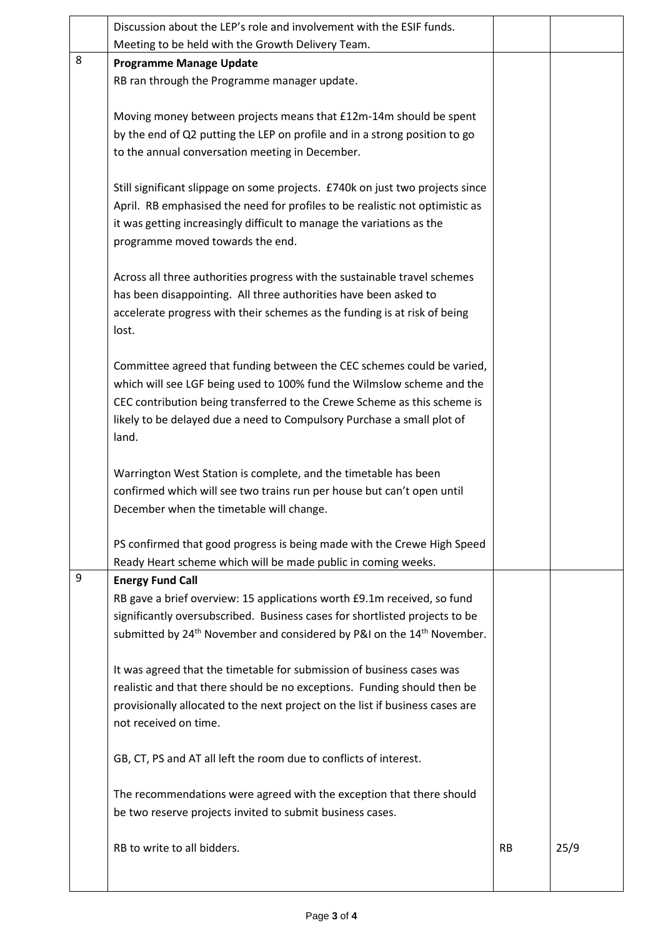|   | Discussion about the LEP's role and involvement with the ESIF funds.                           |           |      |
|---|------------------------------------------------------------------------------------------------|-----------|------|
|   | Meeting to be held with the Growth Delivery Team.                                              |           |      |
| 8 | <b>Programme Manage Update</b>                                                                 |           |      |
|   | RB ran through the Programme manager update.                                                   |           |      |
|   |                                                                                                |           |      |
|   | Moving money between projects means that £12m-14m should be spent                              |           |      |
|   | by the end of Q2 putting the LEP on profile and in a strong position to go                     |           |      |
|   | to the annual conversation meeting in December.                                                |           |      |
|   |                                                                                                |           |      |
|   | Still significant slippage on some projects. £740k on just two projects since                  |           |      |
|   | April. RB emphasised the need for profiles to be realistic not optimistic as                   |           |      |
|   | it was getting increasingly difficult to manage the variations as the                          |           |      |
|   | programme moved towards the end.                                                               |           |      |
|   |                                                                                                |           |      |
|   | Across all three authorities progress with the sustainable travel schemes                      |           |      |
|   | has been disappointing. All three authorities have been asked to                               |           |      |
|   | accelerate progress with their schemes as the funding is at risk of being                      |           |      |
|   | lost.                                                                                          |           |      |
|   |                                                                                                |           |      |
|   | Committee agreed that funding between the CEC schemes could be varied,                         |           |      |
|   | which will see LGF being used to 100% fund the Wilmslow scheme and the                         |           |      |
|   | CEC contribution being transferred to the Crewe Scheme as this scheme is                       |           |      |
|   | likely to be delayed due a need to Compulsory Purchase a small plot of                         |           |      |
|   | land.                                                                                          |           |      |
|   |                                                                                                |           |      |
|   | Warrington West Station is complete, and the timetable has been                                |           |      |
|   | confirmed which will see two trains run per house but can't open until                         |           |      |
|   | December when the timetable will change.                                                       |           |      |
|   | PS confirmed that good progress is being made with the Crewe High Speed                        |           |      |
|   | Ready Heart scheme which will be made public in coming weeks.                                  |           |      |
| 9 | <b>Energy Fund Call</b>                                                                        |           |      |
|   | RB gave a brief overview: 15 applications worth £9.1m received, so fund                        |           |      |
|   | significantly oversubscribed. Business cases for shortlisted projects to be                    |           |      |
|   | submitted by 24 <sup>th</sup> November and considered by P&I on the 14 <sup>th</sup> November. |           |      |
|   |                                                                                                |           |      |
|   | It was agreed that the timetable for submission of business cases was                          |           |      |
|   | realistic and that there should be no exceptions. Funding should then be                       |           |      |
|   | provisionally allocated to the next project on the list if business cases are                  |           |      |
|   | not received on time.                                                                          |           |      |
|   |                                                                                                |           |      |
|   | GB, CT, PS and AT all left the room due to conflicts of interest.                              |           |      |
|   | The recommendations were agreed with the exception that there should                           |           |      |
|   | be two reserve projects invited to submit business cases.                                      |           |      |
|   |                                                                                                |           |      |
|   | RB to write to all bidders.                                                                    | <b>RB</b> | 25/9 |
|   |                                                                                                |           |      |
|   |                                                                                                |           |      |